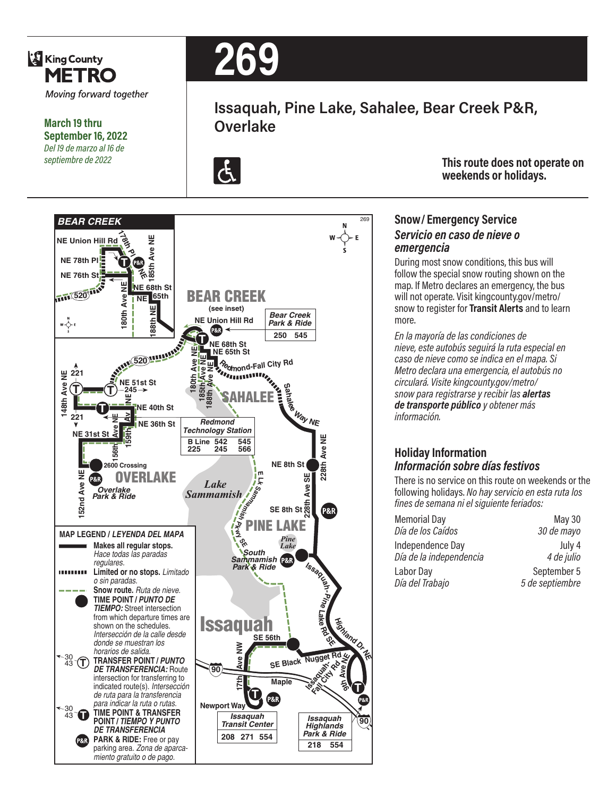

#### **March 19 thru September 16, 2022** *Del 19 de marzo al 16 de septiembre de 2022*

# **269**

## **Issaquah, Pine Lake, Sahalee, Bear Creek P&R, Overlake**



**This route does not operate on weekends or holidays.**

#### **Snow/ Emergency Service**  *Servicio en caso de nieve o emergencia*

During most snow conditions, this bus will follow the special snow routing shown on the map. If Metro declares an emergency, the bus will not operate. Visit kingcounty.gov/metro/ snow to register for **Transit Alerts** and to learn more.

*En la mayoría de las condiciones de nieve, este autobús seguirá la ruta especial en caso de nieve como se indica en el mapa. Si Metro declara una emergencia, el autobús no circulará. Visite kingcounty.gov/metro/ snow para registrarse y recibir las alertas de transporte público y obtener más información.*

#### **Holiday Information** *Información sobre días festivos*

There is no service on this route on weekends or the following holidays. *No hay servicio en esta ruta los fines de semana ni el siguiente feriados:*

| <b>Memorial Day</b>     | <b>May 30</b>   |
|-------------------------|-----------------|
| Día de los Caídos       | 30 de mayo      |
| Independence Day        | July 4          |
| Día de la independencia | 4 de julio      |
| Labor Day               | September 5     |
| Día del Trabajo         | 5 de septiembre |